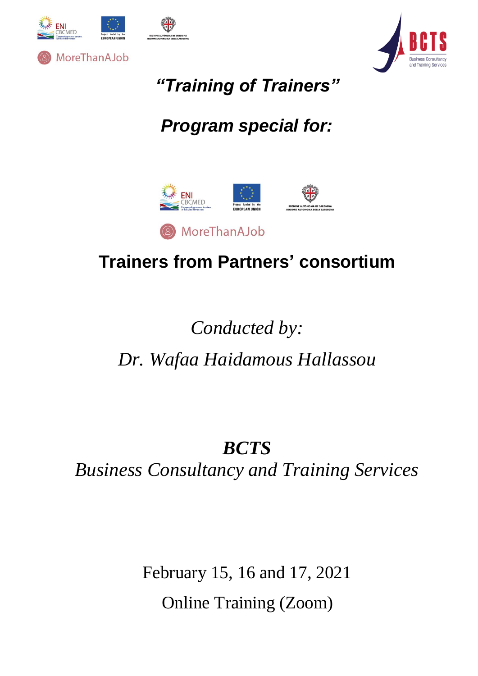



*"Training of Trainers"*

## *Program special for:*



### **Trainers from Partners' consortium**

# *Conducted by: Dr. Wafaa Haidamous Hallassou*

## *BCTS Business Consultancy and Training Services*

February 15, 16 and 17, 2021 Online Training (Zoom)